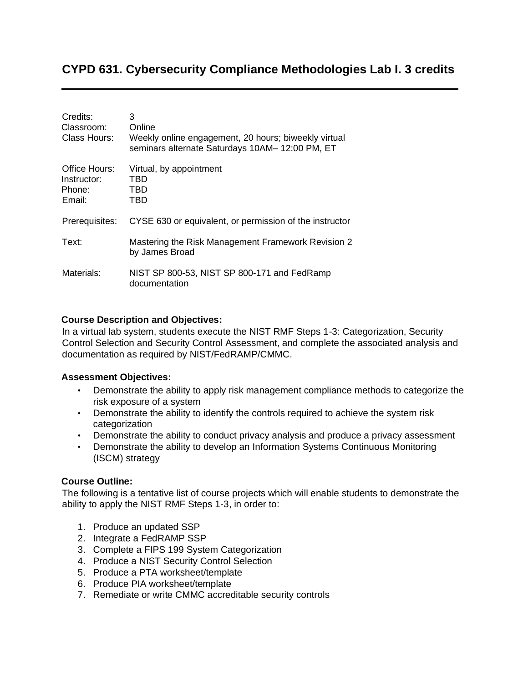# **CYPD 631. Cybersecurity Compliance Methodologies Lab I. 3 credits**

| Credits:<br>Classroom:<br>Class Hours:           | 3<br>Online<br>Weekly online engagement, 20 hours; biweekly virtual<br>seminars alternate Saturdays 10AM-12:00 PM, ET |
|--------------------------------------------------|-----------------------------------------------------------------------------------------------------------------------|
| Office Hours:<br>Instructor:<br>Phone:<br>Email: | Virtual, by appointment<br>TBD<br>TBD<br>TBD                                                                          |
| Prerequisites:                                   | CYSE 630 or equivalent, or permission of the instructor                                                               |
| Text:                                            | Mastering the Risk Management Framework Revision 2<br>by James Broad                                                  |
| Materials:                                       | NIST SP 800-53, NIST SP 800-171 and FedRamp<br>documentation                                                          |

### **Course Description and Objectives:**

In a virtual lab system, students execute the NIST RMF Steps 1-3: Categorization, Security Control Selection and Security Control Assessment, and complete the associated analysis and documentation as required by NIST/FedRAMP/CMMC.

### **Assessment Objectives:**

- Demonstrate the ability to apply risk management compliance methods to categorize the risk exposure of a system
- Demonstrate the ability to identify the controls required to achieve the system risk categorization
- Demonstrate the ability to conduct privacy analysis and produce a privacy assessment
- Demonstrate the ability to develop an Information Systems Continuous Monitoring (ISCM) strategy

### **Course Outline:**

The following is a tentative list of course projects which will enable students to demonstrate the ability to apply the NIST RMF Steps 1-3, in order to:

- 1. Produce an updated SSP
- 2. Integrate a FedRAMP SSP
- 3. Complete a FIPS 199 System Categorization
- 4. Produce a NIST Security Control Selection
- 5. Produce a PTA worksheet/template
- 6. Produce PIA worksheet/template
- 7. Remediate or write CMMC accreditable security controls